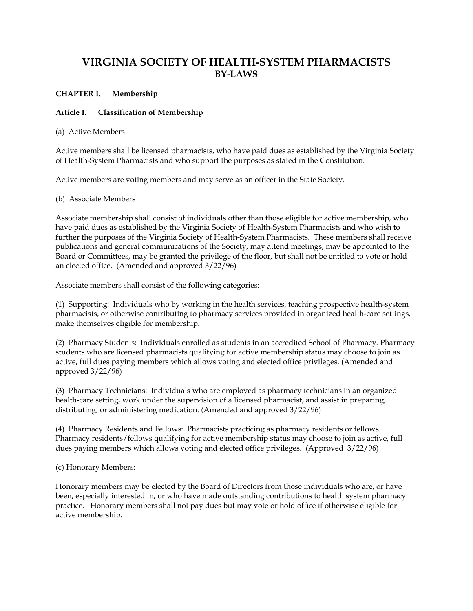# **VIRGINIA SOCIETY OF HEALTH-SYSTEM PHARMACISTS BY-LAWS**

### **CHAPTER I. Membership**

### **Article I. Classification of Membership**

### (a) Active Members

Active members shall be licensed pharmacists, who have paid dues as established by the Virginia Society of Health-System Pharmacists and who support the purposes as stated in the Constitution.

Active members are voting members and may serve as an officer in the State Society.

(b) Associate Members

Associate membership shall consist of individuals other than those eligible for active membership, who have paid dues as established by the Virginia Society of Health-System Pharmacists and who wish to further the purposes of the Virginia Society of Health-System Pharmacists. These members shall receive publications and general communications of the Society, may attend meetings, may be appointed to the Board or Committees, may be granted the privilege of the floor, but shall not be entitled to vote or hold an elected office. (Amended and approved 3/22/96)

Associate members shall consist of the following categories:

(1) Supporting: Individuals who by working in the health services, teaching prospective health-system pharmacists, or otherwise contributing to pharmacy services provided in organized health-care settings, make themselves eligible for membership.

(2) Pharmacy Students: Individuals enrolled as students in an accredited School of Pharmacy. Pharmacy students who are licensed pharmacists qualifying for active membership status may choose to join as active, full dues paying members which allows voting and elected office privileges. (Amended and approved 3/22/96)

(3) Pharmacy Technicians: Individuals who are employed as pharmacy technicians in an organized health-care setting, work under the supervision of a licensed pharmacist, and assist in preparing, distributing, or administering medication. (Amended and approved 3/22/96)

(4) Pharmacy Residents and Fellows: Pharmacists practicing as pharmacy residents or fellows. Pharmacy residents/fellows qualifying for active membership status may choose to join as active, full dues paying members which allows voting and elected office privileges. (Approved 3/22/96)

(c) Honorary Members:

Honorary members may be elected by the Board of Directors from those individuals who are, or have been, especially interested in, or who have made outstanding contributions to health system pharmacy practice. Honorary members shall not pay dues but may vote or hold office if otherwise eligible for active membership.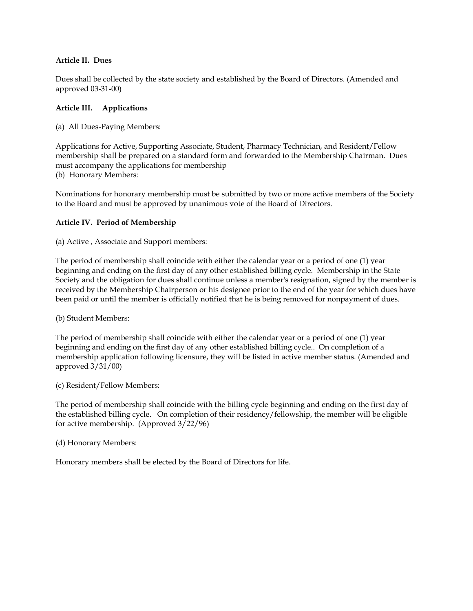# **Article II. Dues**

Dues shall be collected by the state society and established by the Board of Directors. (Amended and approved 03-31-00)

# **Article III. Applications**

(a) All Dues-Paying Members:

Applications for Active, Supporting Associate, Student, Pharmacy Technician, and Resident/Fellow membership shall be prepared on a standard form and forwarded to the Membership Chairman. Dues must accompany the applications for membership (b) Honorary Members:

Nominations for honorary membership must be submitted by two or more active members of the Society to the Board and must be approved by unanimous vote of the Board of Directors.

# **Article IV. Period of Membership**

(a) Active , Associate and Support members:

The period of membership shall coincide with either the calendar year or a period of one (1) year beginning and ending on the first day of any other established billing cycle. Membership in the State Society and the obligation for dues shall continue unless a member's resignation, signed by the member is received by the Membership Chairperson or his designee prior to the end of the year for which dues have been paid or until the member is officially notified that he is being removed for nonpayment of dues.

(b) Student Members:

The period of membership shall coincide with either the calendar year or a period of one (1) year beginning and ending on the first day of any other established billing cycle.. On completion of a membership application following licensure, they will be listed in active member status. (Amended and approved 3/31/00)

(c) Resident/Fellow Members:

The period of membership shall coincide with the billing cycle beginning and ending on the first day of the established billing cycle. On completion of their residency/fellowship, the member will be eligible for active membership. (Approved 3/22/96)

(d) Honorary Members:

Honorary members shall be elected by the Board of Directors for life.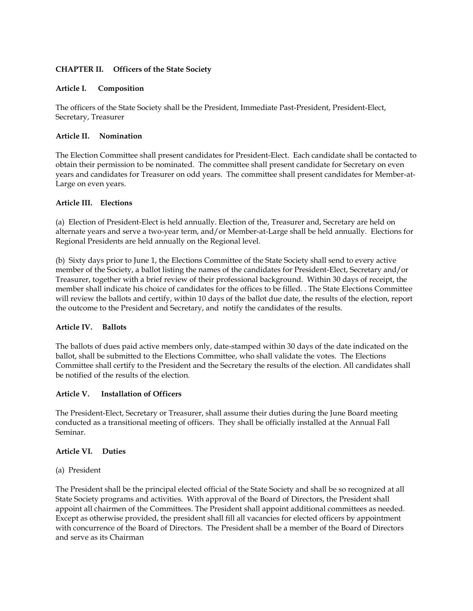### **CHAPTER II. Officers of the State Society**

### **Article I. Composition**

The officers of the State Society shall be the President, Immediate Past-President, President-Elect, Secretary, Treasurer

### **Article II. Nomination**

The Election Committee shall present candidates for President-Elect. Each candidate shall be contacted to obtain their permission to be nominated. The committee shall present candidate for Secretary on even years and candidates for Treasurer on odd years. The committee shall present candidates for Member-at-Large on even years.

### **Article III. Elections**

(a) Election of President-Elect is held annually. Election of the, Treasurer and, Secretary are held on alternate years and serve a two-year term, and/or Member-at-Large shall be held annually. Elections for Regional Presidents are held annually on the Regional level.

(b) Sixty days prior to June 1, the Elections Committee of the State Society shall send to every active member of the Society, a ballot listing the names of the candidates for President-Elect, Secretary and/or Treasurer, together with a brief review of their professional background. Within 30 days of receipt, the member shall indicate his choice of candidates for the offices to be filled. . The State Elections Committee will review the ballots and certify, within 10 days of the ballot due date, the results of the election, report the outcome to the President and Secretary, and notify the candidates of the results.

# **Article IV. Ballots**

The ballots of dues paid active members only, date-stamped within 30 days of the date indicated on the ballot, shall be submitted to the Elections Committee, who shall validate the votes. The Elections Committee shall certify to the President and the Secretary the results of the election. All candidates shall be notified of the results of the election.

### **Article V. Installation of Officers**

The President-Elect, Secretary or Treasurer, shall assume their duties during the June Board meeting conducted as a transitional meeting of officers. They shall be officially installed at the Annual Fall Seminar.

### **Article VI. Duties**

### (a) President

The President shall be the principal elected official of the State Society and shall be so recognized at all State Society programs and activities. With approval of the Board of Directors, the President shall appoint all chairmen of the Committees. The President shall appoint additional committees as needed. Except as otherwise provided, the president shall fill all vacancies for elected officers by appointment with concurrence of the Board of Directors. The President shall be a member of the Board of Directors and serve as its Chairman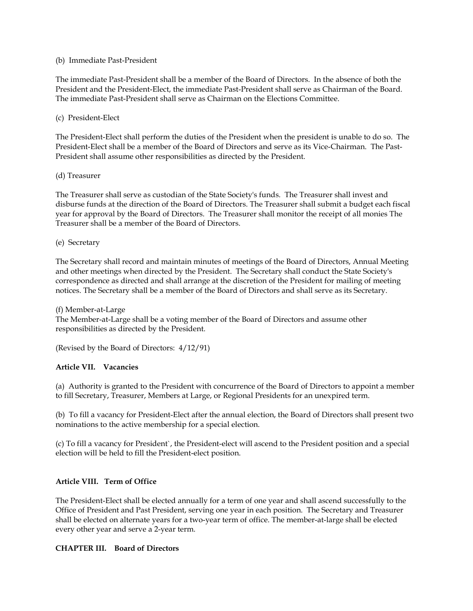### (b) Immediate Past-President

The immediate Past-President shall be a member of the Board of Directors. In the absence of both the President and the President-Elect, the immediate Past-President shall serve as Chairman of the Board. The immediate Past-President shall serve as Chairman on the Elections Committee.

### (c) President-Elect

The President-Elect shall perform the duties of the President when the president is unable to do so. The President-Elect shall be a member of the Board of Directors and serve as its Vice-Chairman. The Past-President shall assume other responsibilities as directed by the President.

### (d) Treasurer

The Treasurer shall serve as custodian of the State Society's funds. The Treasurer shall invest and disburse funds at the direction of the Board of Directors. The Treasurer shall submit a budget each fiscal year for approval by the Board of Directors. The Treasurer shall monitor the receipt of all monies The Treasurer shall be a member of the Board of Directors.

### (e) Secretary

The Secretary shall record and maintain minutes of meetings of the Board of Directors, Annual Meeting and other meetings when directed by the President. The Secretary shall conduct the State Society's correspondence as directed and shall arrange at the discretion of the President for mailing of meeting notices. The Secretary shall be a member of the Board of Directors and shall serve as its Secretary.

### (f) Member-at-Large

The Member-at-Large shall be a voting member of the Board of Directors and assume other responsibilities as directed by the President.

(Revised by the Board of Directors: 4/12/91)

# **Article VII. Vacancies**

(a) Authority is granted to the President with concurrence of the Board of Directors to appoint a member to fill Secretary, Treasurer, Members at Large, or Regional Presidents for an unexpired term.

(b) To fill a vacancy for President-Elect after the annual election, the Board of Directors shall present two nominations to the active membership for a special election.

(c) To fill a vacancy for President`, the President-elect will ascend to the President position and a special election will be held to fill the President-elect position.

# **Article VIII. Term of Office**

The President-Elect shall be elected annually for a term of one year and shall ascend successfully to the Office of President and Past President, serving one year in each position. The Secretary and Treasurer shall be elected on alternate years for a two-year term of office. The member-at-large shall be elected every other year and serve a 2-year term.

### **CHAPTER III. Board of Directors**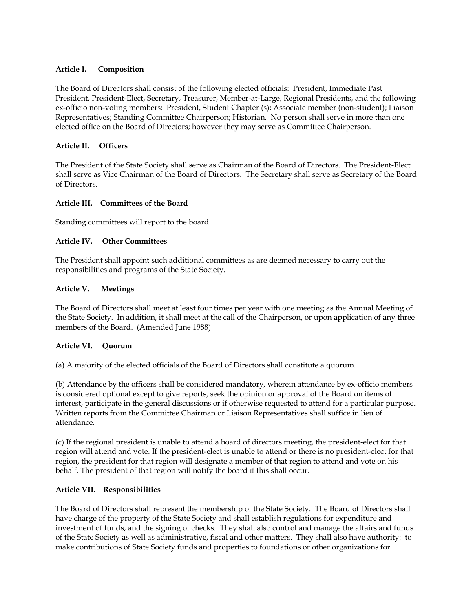### **Article I. Composition**

The Board of Directors shall consist of the following elected officials: President, Immediate Past President, President-Elect, Secretary, Treasurer, Member-at-Large, Regional Presidents, and the following ex-officio non-voting members: President, Student Chapter (s); Associate member (non-student); Liaison Representatives; Standing Committee Chairperson; Historian. No person shall serve in more than one elected office on the Board of Directors; however they may serve as Committee Chairperson.

### **Article II. Officers**

The President of the State Society shall serve as Chairman of the Board of Directors. The President-Elect shall serve as Vice Chairman of the Board of Directors. The Secretary shall serve as Secretary of the Board of Directors.

### **Article III. Committees of the Board**

Standing committees will report to the board.

### **Article IV. Other Committees**

The President shall appoint such additional committees as are deemed necessary to carry out the responsibilities and programs of the State Society.

### **Article V. Meetings**

The Board of Directors shall meet at least four times per year with one meeting as the Annual Meeting of the State Society. In addition, it shall meet at the call of the Chairperson, or upon application of any three members of the Board. (Amended June 1988)

# **Article VI. Quorum**

(a) A majority of the elected officials of the Board of Directors shall constitute a quorum.

(b) Attendance by the officers shall be considered mandatory, wherein attendance by ex-officio members is considered optional except to give reports, seek the opinion or approval of the Board on items of interest, participate in the general discussions or if otherwise requested to attend for a particular purpose. Written reports from the Committee Chairman or Liaison Representatives shall suffice in lieu of attendance.

(c) If the regional president is unable to attend a board of directors meeting, the president-elect for that region will attend and vote. If the president-elect is unable to attend or there is no president-elect for that region, the president for that region will designate a member of that region to attend and vote on his behalf. The president of that region will notify the board if this shall occur.

### **Article VII. Responsibilities**

The Board of Directors shall represent the membership of the State Society. The Board of Directors shall have charge of the property of the State Society and shall establish regulations for expenditure and investment of funds, and the signing of checks. They shall also control and manage the affairs and funds of the State Society as well as administrative, fiscal and other matters. They shall also have authority: to make contributions of State Society funds and properties to foundations or other organizations for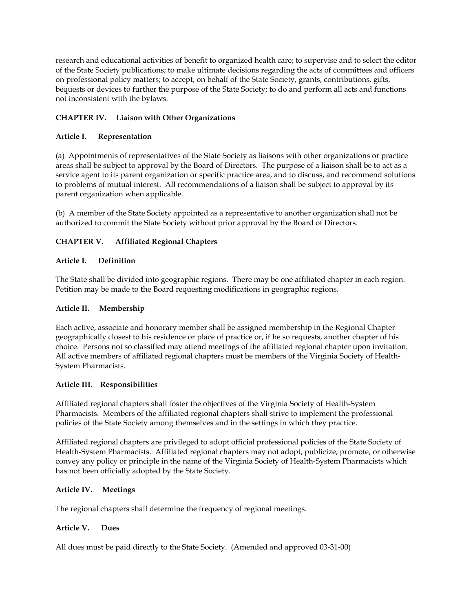research and educational activities of benefit to organized health care; to supervise and to select the editor of the State Society publications; to make ultimate decisions regarding the acts of committees and officers on professional policy matters; to accept, on behalf of the State Society, grants, contributions, gifts, bequests or devices to further the purpose of the State Society; to do and perform all acts and functions not inconsistent with the bylaws.

# **CHAPTER IV. Liaison with Other Organizations**

# **Article I. Representation**

(a) Appointments of representatives of the State Society as liaisons with other organizations or practice areas shall be subject to approval by the Board of Directors. The purpose of a liaison shall be to act as a service agent to its parent organization or specific practice area, and to discuss, and recommend solutions to problems of mutual interest. All recommendations of a liaison shall be subject to approval by its parent organization when applicable.

(b) A member of the State Society appointed as a representative to another organization shall not be authorized to commit the State Society without prior approval by the Board of Directors.

# **CHAPTER V. Affiliated Regional Chapters**

# **Article I. Definition**

The State shall be divided into geographic regions. There may be one affiliated chapter in each region. Petition may be made to the Board requesting modifications in geographic regions.

# **Article II. Membership**

Each active, associate and honorary member shall be assigned membership in the Regional Chapter geographically closest to his residence or place of practice or, if he so requests, another chapter of his choice. Persons not so classified may attend meetings of the affiliated regional chapter upon invitation. All active members of affiliated regional chapters must be members of the Virginia Society of Health-System Pharmacists.

# **Article III. Responsibilities**

Affiliated regional chapters shall foster the objectives of the Virginia Society of Health-System Pharmacists. Members of the affiliated regional chapters shall strive to implement the professional policies of the State Society among themselves and in the settings in which they practice.

Affiliated regional chapters are privileged to adopt official professional policies of the State Society of Health-System Pharmacists. Affiliated regional chapters may not adopt, publicize, promote, or otherwise convey any policy or principle in the name of the Virginia Society of Health-System Pharmacists which has not been officially adopted by the State Society.

# **Article IV. Meetings**

The regional chapters shall determine the frequency of regional meetings.

# **Article V. Dues**

All dues must be paid directly to the State Society. (Amended and approved 03-31-00)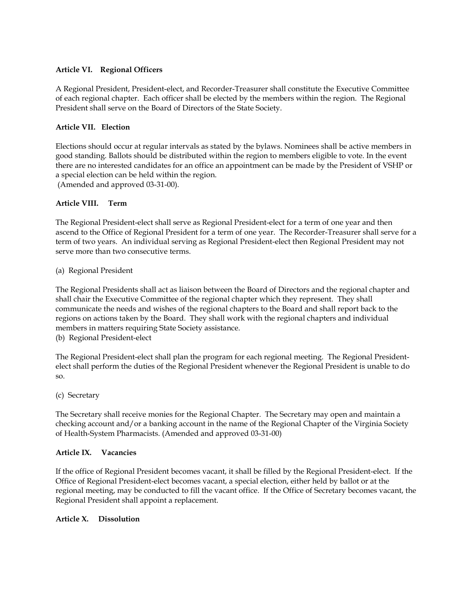# **Article VI. Regional Officers**

A Regional President, President-elect, and Recorder-Treasurer shall constitute the Executive Committee of each regional chapter. Each officer shall be elected by the members within the region. The Regional President shall serve on the Board of Directors of the State Society.

### **Article VII. Election**

Elections should occur at regular intervals as stated by the bylaws. Nominees shall be active members in good standing. Ballots should be distributed within the region to members eligible to vote. In the event there are no interested candidates for an office an appointment can be made by the President of VSHP or a special election can be held within the region.

(Amended and approved 03-31-00).

### **Article VIII. Term**

The Regional President-elect shall serve as Regional President-elect for a term of one year and then ascend to the Office of Regional President for a term of one year. The Recorder-Treasurer shall serve for a term of two years. An individual serving as Regional President-elect then Regional President may not serve more than two consecutive terms.

### (a) Regional President

The Regional Presidents shall act as liaison between the Board of Directors and the regional chapter and shall chair the Executive Committee of the regional chapter which they represent. They shall communicate the needs and wishes of the regional chapters to the Board and shall report back to the regions on actions taken by the Board. They shall work with the regional chapters and individual members in matters requiring State Society assistance.

(b) Regional President-elect

The Regional President-elect shall plan the program for each regional meeting. The Regional Presidentelect shall perform the duties of the Regional President whenever the Regional President is unable to do so.

### (c) Secretary

The Secretary shall receive monies for the Regional Chapter. The Secretary may open and maintain a checking account and/or a banking account in the name of the Regional Chapter of the Virginia Society of Health-System Pharmacists. (Amended and approved 03-31-00)

### **Article IX. Vacancies**

If the office of Regional President becomes vacant, it shall be filled by the Regional President-elect. If the Office of Regional President-elect becomes vacant, a special election, either held by ballot or at the regional meeting, may be conducted to fill the vacant office. If the Office of Secretary becomes vacant, the Regional President shall appoint a replacement.

### **Article X. Dissolution**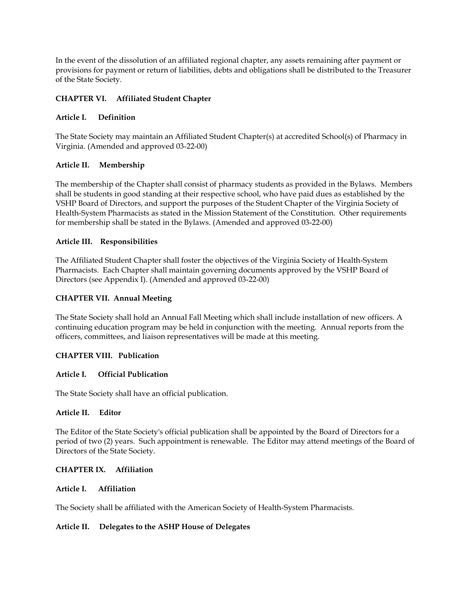In the event of the dissolution of an affiliated regional chapter, any assets remaining after payment or provisions for payment or return of liabilities, debts and obligations shall be distributed to the Treasurer of the State Society.

### **CHAPTER VI. Affiliated Student Chapter**

### **Article I. Definition**

The State Society may maintain an Affiliated Student Chapter(s) at accredited School(s) of Pharmacy in Virginia. (Amended and approved 03-22-00)

### **Article II. Membership**

The membership of the Chapter shall consist of pharmacy students as provided in the Bylaws. Members shall be students in good standing at their respective school, who have paid dues as established by the VSHP Board of Directors, and support the purposes of the Student Chapter of the Virginia Society of Health-System Pharmacists as stated in the Mission Statement of the Constitution. Other requirements for membership shall be stated in the Bylaws. (Amended and approved 03-22-00)

### **Article III. Responsibilities**

The Affiliated Student Chapter shall foster the objectives of the Virginia Society of Health-System Pharmacists. Each Chapter shall maintain governing documents approved by the VSHP Board of Directors (see Appendix I). (Amended and approved 03-22-00)

### **CHAPTER VII. Annual Meeting**

The State Society shall hold an Annual Fall Meeting which shall include installation of new officers. A continuing education program may be held in conjunction with the meeting. Annual reports from the officers, committees, and liaison representatives will be made at this meeting.

# **CHAPTER VIII. Publication**

### **Article I. Official Publication**

The State Society shall have an official publication.

### **Article II. Editor**

The Editor of the State Society's official publication shall be appointed by the Board of Directors for a period of two (2) years. Such appointment is renewable. The Editor may attend meetings of the Board of Directors of the State Society.

### **CHAPTER IX. Affiliation**

### **Article I. Affiliation**

The Society shall be affiliated with the American Society of Health-System Pharmacists.

### **Article II. Delegates to the ASHP House of Delegates**